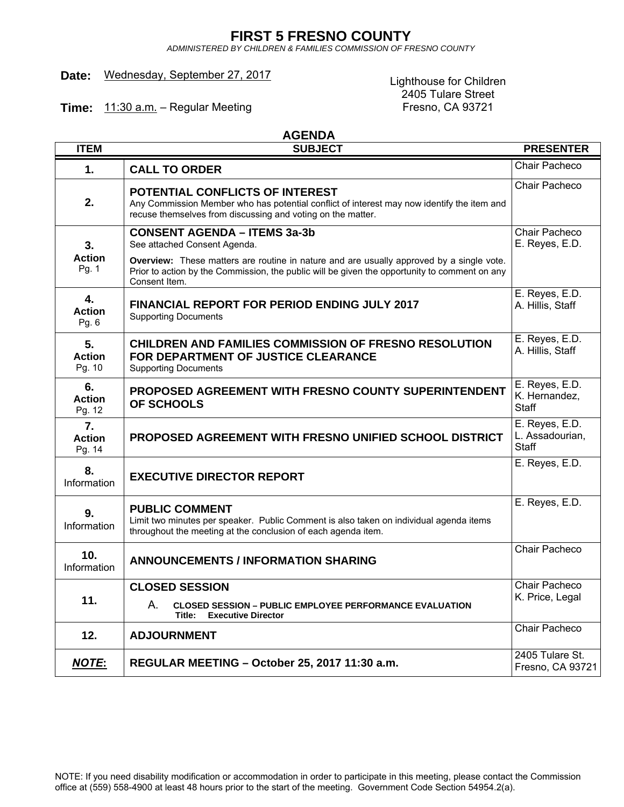# **FIRST 5 FRESNO COUNTY**

*ADMINISTERED BY CHILDREN & FAMILIES COMMISSION OF FRESNO COUNTY*

# Date: Wednesday, September 27, 2017<br>
Lighthouse for Children

2405 Tulare Street<br>Fresno, CA 93721

**Time:** 11:30 a.m. - Regular Meeting

 **AGENDA**

| <b>ITEM</b>                   | <b>SUBJECT</b>                                                                                                                                                                                                                                                   | <b>PRESENTER</b>                                  |
|-------------------------------|------------------------------------------------------------------------------------------------------------------------------------------------------------------------------------------------------------------------------------------------------------------|---------------------------------------------------|
| 1.                            | <b>CALL TO ORDER</b>                                                                                                                                                                                                                                             | Chair Pacheco                                     |
| 2.                            | POTENTIAL CONFLICTS OF INTEREST<br>Any Commission Member who has potential conflict of interest may now identify the item and<br>recuse themselves from discussing and voting on the matter.                                                                     | Chair Pacheco                                     |
| 3.<br><b>Action</b><br>Pg. 1  | <b>CONSENT AGENDA - ITEMS 3a-3b</b><br>See attached Consent Agenda.<br>Overview: These matters are routine in nature and are usually approved by a single vote.<br>Prior to action by the Commission, the public will be given the opportunity to comment on any | Chair Pacheco<br>E. Reyes, E.D.                   |
| 4.<br><b>Action</b><br>Pg. 6  | Consent Item.<br><b>FINANCIAL REPORT FOR PERIOD ENDING JULY 2017</b><br><b>Supporting Documents</b>                                                                                                                                                              | E. Reyes, E.D.<br>A. Hillis, Staff                |
| 5.<br><b>Action</b><br>Pg. 10 | <b>CHILDREN AND FAMILIES COMMISSION OF FRESNO RESOLUTION</b><br>FOR DEPARTMENT OF JUSTICE CLEARANCE<br><b>Supporting Documents</b>                                                                                                                               | E. Reyes, E.D.<br>A. Hillis, Staff                |
| 6.<br><b>Action</b><br>Pg. 12 | PROPOSED AGREEMENT WITH FRESNO COUNTY SUPERINTENDENT<br><b>OF SCHOOLS</b>                                                                                                                                                                                        | E. Reyes, E.D.<br>K. Hernandez,<br><b>Staff</b>   |
| 7.<br><b>Action</b><br>Pg. 14 | <b>PROPOSED AGREEMENT WITH FRESNO UNIFIED SCHOOL DISTRICT</b>                                                                                                                                                                                                    | E. Reyes, E.D.<br>L. Assadourian,<br><b>Staff</b> |
| 8.<br>Information             | <b>EXECUTIVE DIRECTOR REPORT</b>                                                                                                                                                                                                                                 | E. Reyes, E.D.                                    |
| 9.<br>Information             | <b>PUBLIC COMMENT</b><br>Limit two minutes per speaker. Public Comment is also taken on individual agenda items<br>throughout the meeting at the conclusion of each agenda item.                                                                                 | E. Reyes, E.D.                                    |
| 10.<br>Information            | <b>ANNOUNCEMENTS / INFORMATION SHARING</b>                                                                                                                                                                                                                       | Chair Pacheco                                     |
| 11.                           | <b>CLOSED SESSION</b><br>А.<br><b>CLOSED SESSION - PUBLIC EMPLOYEE PERFORMANCE EVALUATION</b><br>Title:<br><b>Executive Director</b>                                                                                                                             | Chair Pacheco<br>K. Price, Legal                  |
| 12.                           | <b>ADJOURNMENT</b>                                                                                                                                                                                                                                               | Chair Pacheco                                     |
| <b>NOTE:</b>                  | REGULAR MEETING - October 25, 2017 11:30 a.m.                                                                                                                                                                                                                    | 2405 Tulare St.<br>Fresno, CA 93721               |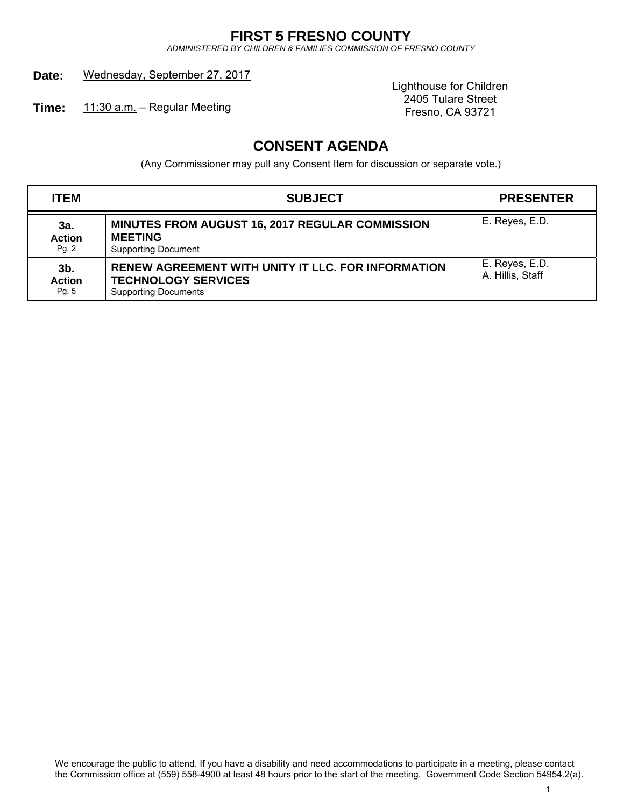# **FIRST 5 FRESNO COUNTY**

*ADMINISTERED BY CHILDREN & FAMILIES COMMISSION OF FRESNO COUNTY*

# Date: Wednesday, September 27, 2017

**Time:** 11:30 a.m. – Regular Meeting

Lighthouse for Children 2405 Tulare Street<br>Fresno, CA 93721

# **CONSENT AGENDA**

(Any Commissioner may pull any Consent Item for discussion or separate vote.)

| <b>ITEM</b>                   | <b>SUBJECT</b>                                                                                                         | <b>PRESENTER</b>                   |
|-------------------------------|------------------------------------------------------------------------------------------------------------------------|------------------------------------|
| 3a.<br><b>Action</b><br>Pg.2  | <b>MINUTES FROM AUGUST 16, 2017 REGULAR COMMISSION</b><br><b>MEETING</b><br><b>Supporting Document</b>                 | E. Reyes, E.D.                     |
| 3b.<br><b>Action</b><br>Pg. 5 | <b>RENEW AGREEMENT WITH UNITY IT LLC. FOR INFORMATION</b><br><b>TECHNOLOGY SERVICES</b><br><b>Supporting Documents</b> | E. Reyes, E.D.<br>A. Hillis, Staff |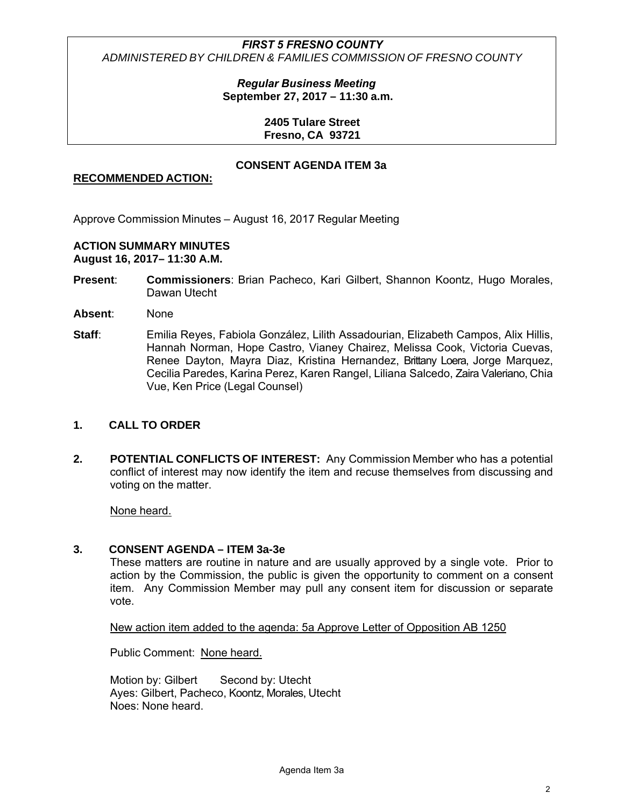*Regular Business Meeting* **September 27, 2017 – 11:30 a.m.**

> **2405 Tulare Street Fresno, CA 93721**

# **CONSENT AGENDA ITEM 3a**

# **RECOMMENDED ACTION:**

Approve Commission Minutes – August 16, 2017 Regular Meeting

# **ACTION SUMMARY MINUTES**

**August 16, 2017– 11:30 A.M.**

- **Present**: **Commissioners**: Brian Pacheco, Kari Gilbert, Shannon Koontz, Hugo Morales, Dawan Utecht
- **Absent**: None
- Staff: Emilia Reyes, Fabiola González, Lilith Assadourian, Elizabeth Campos, Alix Hillis, Hannah Norman, Hope Castro, Vianey Chairez, Melissa Cook, Victoria Cuevas, Renee Dayton, Mayra Diaz, Kristina Hernandez, Brittany Loera, Jorge Marquez, Cecilia Paredes, Karina Perez, Karen Rangel, Liliana Salcedo, Zaira Valeriano, Chia Vue, Ken Price (Legal Counsel)

### **1. CALL TO ORDER**

**2. POTENTIAL CONFLICTS OF INTEREST:** Any Commission Member who has a potential conflict of interest may now identify the item and recuse themselves from discussing and voting on the matter.

None heard.

# **3. CONSENT AGENDA – ITEM 3a-3e**

These matters are routine in nature and are usually approved by a single vote. Prior to action by the Commission, the public is given the opportunity to comment on a consent item. Any Commission Member may pull any consent item for discussion or separate vote.

New action item added to the agenda: 5a Approve Letter of Opposition AB 1250

Public Comment: None heard.

Motion by: Gilbert Second by: Utecht Ayes: Gilbert, Pacheco, Koontz, Morales, Utecht Noes: None heard.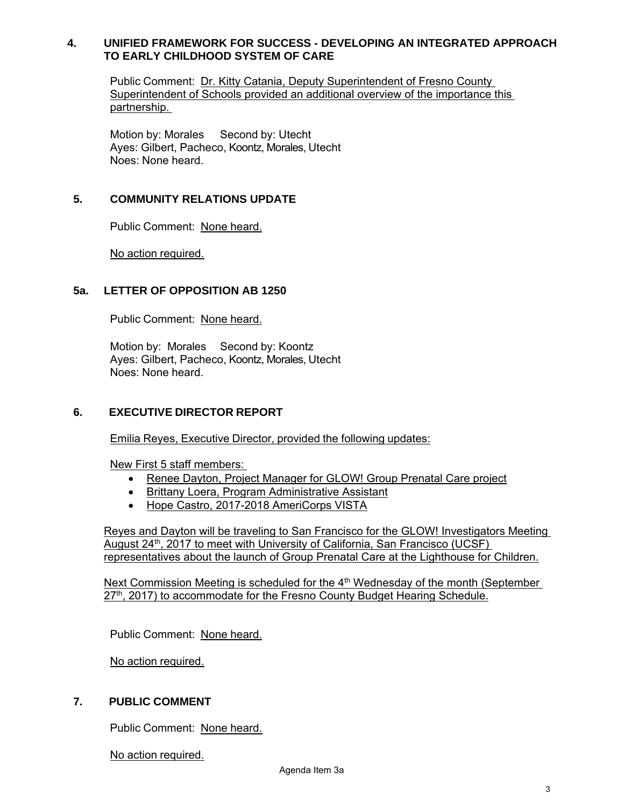# **4. UNIFIED FRAMEWORK FOR SUCCESS - DEVELOPING AN INTEGRATED APPROACH TO EARLY CHILDHOOD SYSTEM OF CARE**

Public Comment: Dr. Kitty Catania, Deputy Superintendent of Fresno County Superintendent of Schools provided an additional overview of the importance this partnership.

Motion by: Morales Second by: Utecht Ayes: Gilbert, Pacheco, Koontz, Morales, Utecht Noes: None heard.

# **5. COMMUNITY RELATIONS UPDATE**

Public Comment: None heard.

No action required.

# **5a. LETTER OF OPPOSITION AB 1250**

Public Comment: None heard.

Motion by: Morales Second by: Koontz Ayes: Gilbert, Pacheco, Koontz, Morales, Utecht Noes: None heard.

### **6. EXECUTIVE DIRECTOR REPORT**

Emilia Reyes, Executive Director, provided the following updates:

New First 5 staff members:

- Renee Dayton, Project Manager for GLOW! Group Prenatal Care project
- Brittany Loera, Program Administrative Assistant
- Hope Castro, 2017-2018 AmeriCorps VISTA

Reyes and Dayton will be traveling to San Francisco for the GLOW! Investigators Meeting August 24<sup>th</sup>, 2017 to meet with University of California, San Francisco (UCSF) representatives about the launch of Group Prenatal Care at the Lighthouse for Children.

Next Commission Meeting is scheduled for the 4<sup>th</sup> Wednesday of the month (September 27<sup>th</sup>, 2017) to accommodate for the Fresno County Budget Hearing Schedule.

Public Comment: None heard.

No action required.

# **7. PUBLIC COMMENT**

Public Comment: None heard.

No action required.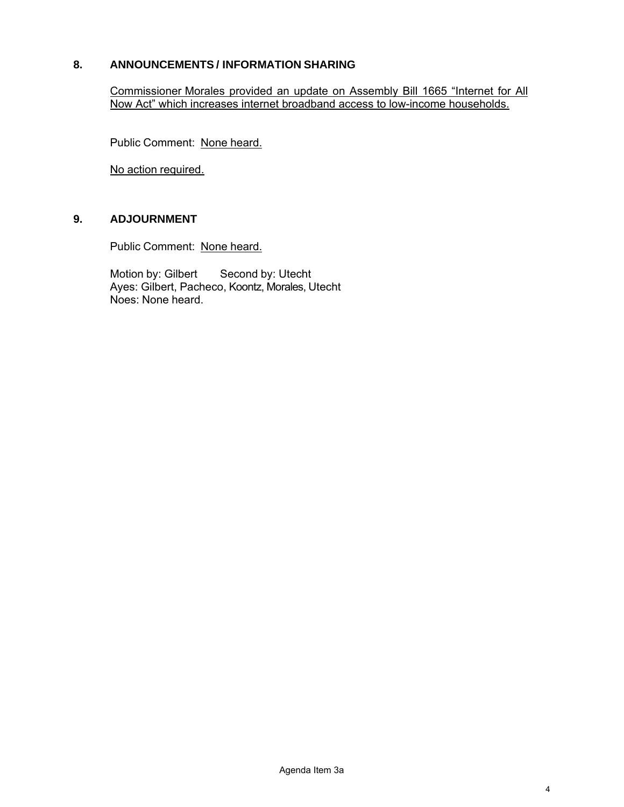# **8. ANNOUNCEMENTS / INFORMATION SHARING**

Commissioner Morales provided an update on Assembly Bill 1665 "Internet for All Now Act" which increases internet broadband access to low-income households.

Public Comment: None heard.

No action required.

# **9. ADJOURNMENT**

Public Comment: None heard.

Motion by: Gilbert Second by: Utecht Ayes: Gilbert, Pacheco, Koontz, Morales, Utecht Noes: None heard.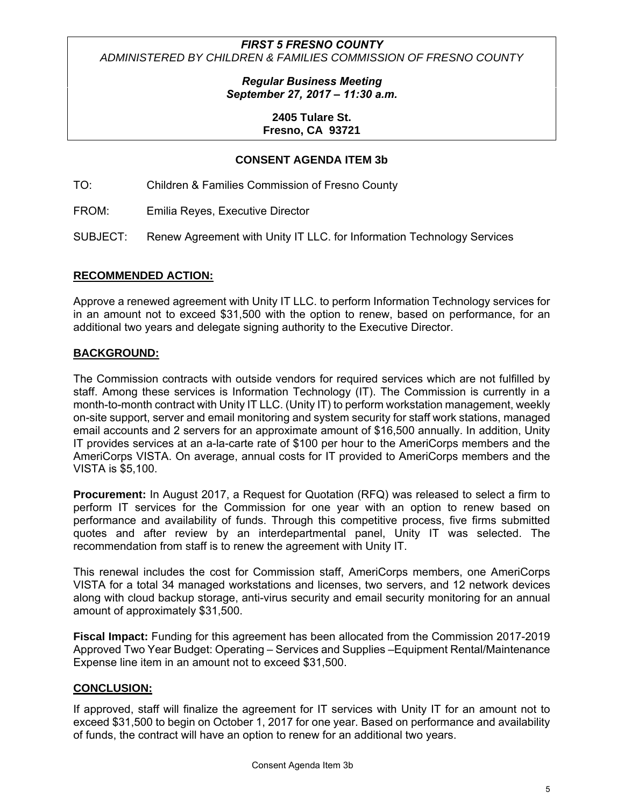> *Regular Business Meeting September 27, 2017 – 11:30 a.m.*

> > **2405 Tulare St. Fresno, CA 93721**

# **CONSENT AGENDA ITEM 3b**

TO: Children & Families Commission of Fresno County

FROM: Emilia Reyes, Executive Director

SUBJECT: Renew Agreement with Unity IT LLC. for Information Technology Services

#### **RECOMMENDED ACTION:**

Approve a renewed agreement with Unity IT LLC. to perform Information Technology services for in an amount not to exceed \$31,500 with the option to renew, based on performance, for an additional two years and delegate signing authority to the Executive Director.

### **BACKGROUND:**

The Commission contracts with outside vendors for required services which are not fulfilled by staff. Among these services is Information Technology (IT). The Commission is currently in a month-to-month contract with Unity IT LLC. (Unity IT) to perform workstation management, weekly on-site support, server and email monitoring and system security for staff work stations, managed email accounts and 2 servers for an approximate amount of \$16,500 annually. In addition, Unity IT provides services at an a-la-carte rate of \$100 per hour to the AmeriCorps members and the AmeriCorps VISTA. On average, annual costs for IT provided to AmeriCorps members and the VISTA is \$5,100.

**Procurement:** In August 2017, a Request for Quotation (RFQ) was released to select a firm to perform IT services for the Commission for one year with an option to renew based on performance and availability of funds. Through this competitive process, five firms submitted quotes and after review by an interdepartmental panel, Unity IT was selected. The recommendation from staff is to renew the agreement with Unity IT.

This renewal includes the cost for Commission staff, AmeriCorps members, one AmeriCorps VISTA for a total 34 managed workstations and licenses, two servers, and 12 network devices along with cloud backup storage, anti-virus security and email security monitoring for an annual amount of approximately \$31,500.

**Fiscal Impact:** Funding for this agreement has been allocated from the Commission 2017-2019 Approved Two Year Budget: Operating – Services and Supplies –Equipment Rental/Maintenance Expense line item in an amount not to exceed \$31,500.

### **CONCLUSION:**

If approved, staff will finalize the agreement for IT services with Unity IT for an amount not to exceed \$31,500 to begin on October 1, 2017 for one year. Based on performance and availability of funds, the contract will have an option to renew for an additional two years.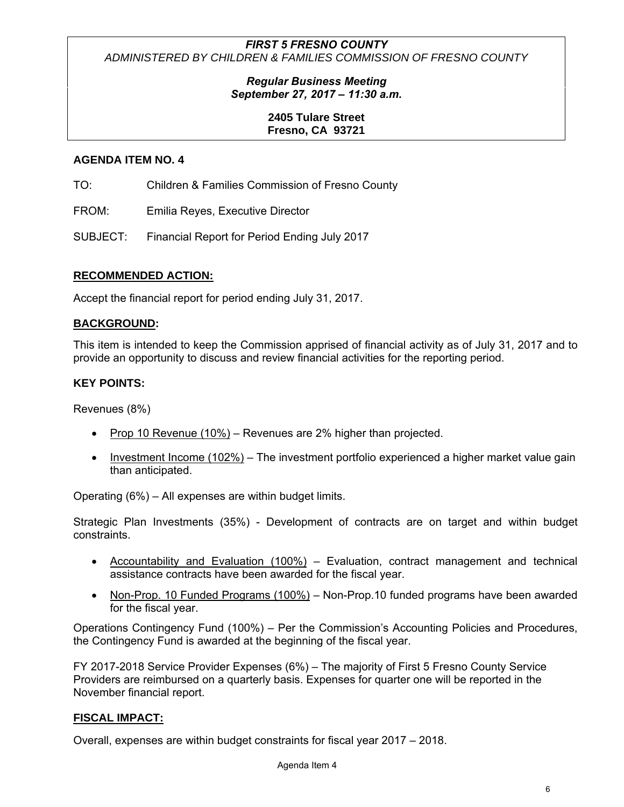# *Regular Business Meeting September 27, 2017 – 11:30 a.m.*

# **2405 Tulare Street Fresno, CA 93721**

# **AGENDA ITEM NO. 4**

TO: Children & Families Commission of Fresno County

FROM: Emilia Reyes, Executive Director

SUBJECT: Financial Report for Period Ending July 2017

# **RECOMMENDED ACTION:**

Accept the financial report for period ending July 31, 2017.

# **BACKGROUND:**

This item is intended to keep the Commission apprised of financial activity as of July 31, 2017 and to provide an opportunity to discuss and review financial activities for the reporting period.

# **KEY POINTS:**

Revenues (8%)

- Prop 10 Revenue (10%) Revenues are  $2%$  higher than projected.
- $\bullet$  Investment Income (102%) The investment portfolio experienced a higher market value gain than anticipated.

Operating (6%) – All expenses are within budget limits.

Strategic Plan Investments (35%) - Development of contracts are on target and within budget constraints.

- Accountability and Evaluation (100%) Evaluation, contract management and technical assistance contracts have been awarded for the fiscal year.
- Non-Prop. 10 Funded Programs (100%) Non-Prop.10 funded programs have been awarded for the fiscal year.

Operations Contingency Fund (100%) – Per the Commission's Accounting Policies and Procedures, the Contingency Fund is awarded at the beginning of the fiscal year.

FY 2017-2018 Service Provider Expenses (6%) – The majority of First 5 Fresno County Service Providers are reimbursed on a quarterly basis. Expenses for quarter one will be reported in the November financial report.

### **FISCAL IMPACT:**

Overall, expenses are within budget constraints for fiscal year 2017 – 2018.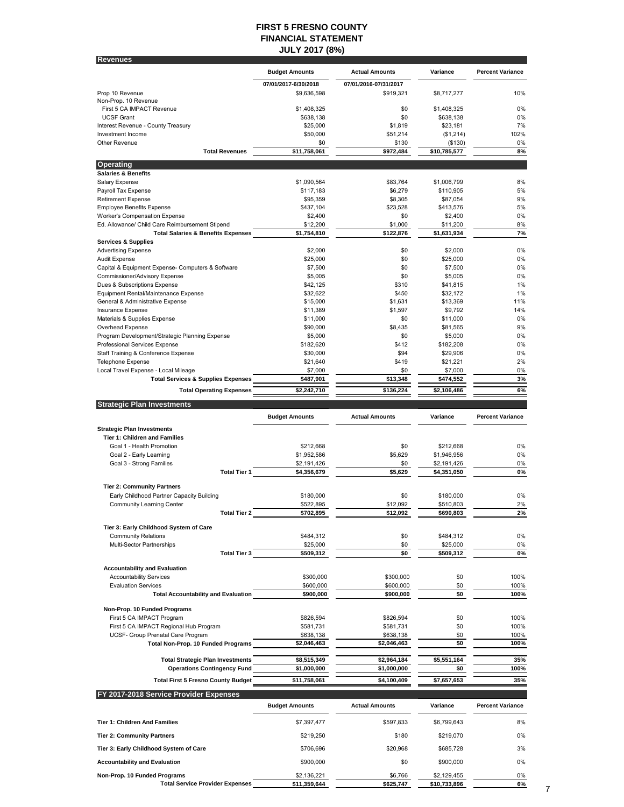#### **FIRST 5 FRESNO COUNTY FINANCIAL STATEMENT JULY 2017 (8%)**

| <b>Revenues</b>                                                                       |                          |                          |                        |                         |  |
|---------------------------------------------------------------------------------------|--------------------------|--------------------------|------------------------|-------------------------|--|
|                                                                                       | <b>Budget Amounts</b>    | <b>Actual Amounts</b>    | Variance               | <b>Percent Variance</b> |  |
|                                                                                       | 07/01/2017-6/30/2018     | 07/01/2016-07/31/2017    |                        |                         |  |
| Prop 10 Revenue                                                                       | \$9,636,598              | \$919,321                | \$8,717,277            | 10%                     |  |
| Non-Prop. 10 Revenue                                                                  |                          |                          |                        |                         |  |
| First 5 CA IMPACT Revenue                                                             | \$1,408,325              | \$0                      | \$1,408,325            | 0%                      |  |
| <b>UCSF Grant</b><br>Interest Revenue - County Treasury                               | \$638,138<br>\$25,000    | \$0<br>\$1,819           | \$638,138<br>\$23,181  | 0%<br>7%                |  |
| Investment Income                                                                     | \$50,000                 | \$51,214                 | (\$1,214)              | 102%                    |  |
| Other Revenue                                                                         | \$0                      | \$130                    | (\$130)                | 0%                      |  |
| <b>Total Revenues</b>                                                                 | \$11,758,061             | \$972,484                | \$10,785,577           | 8%                      |  |
| <b>Operating</b>                                                                      |                          |                          |                        |                         |  |
| <b>Salaries &amp; Benefits</b>                                                        |                          |                          |                        |                         |  |
| Salary Expense                                                                        | \$1,090,564              | \$83,764                 | \$1,006,799            | 8%                      |  |
| Payroll Tax Expense                                                                   | \$117,183                | \$6,279                  | \$110,905              | 5%                      |  |
| <b>Retirement Expense</b><br><b>Employee Benefits Expense</b>                         | \$95,359<br>\$437,104    | \$8,305<br>\$23,528      | \$87,054<br>\$413,576  | 9%<br>5%                |  |
| Worker's Compensation Expense                                                         | \$2,400                  | \$0                      | \$2,400                | 0%                      |  |
| Ed. Allowance/ Child Care Reimbursement Stipend                                       | \$12,200                 | \$1,000                  | \$11,200               | 8%                      |  |
| <b>Total Salaries &amp; Benefits Expenses</b>                                         | \$1,754,810              | \$122,876                | \$1,631,934            | 7%                      |  |
| <b>Services &amp; Supplies</b>                                                        |                          |                          |                        |                         |  |
| <b>Advertising Expense</b><br>Audit Expense                                           | \$2,000<br>\$25,000      | \$0<br>\$0               | \$2,000<br>\$25,000    | 0%<br>0%                |  |
| Capital & Equipment Expense- Computers & Software                                     | \$7,500                  | \$0                      | \$7,500                | 0%                      |  |
| Commissioner/Advisory Expense                                                         | \$5,005                  | \$0                      | \$5,005                | 0%                      |  |
| Dues & Subscriptions Expense                                                          | \$42,125                 | \$310                    | \$41,815               | 1%                      |  |
| Equipment Rental/Maintenance Expense                                                  | \$32,622                 | \$450                    | \$32,172               | 1%                      |  |
| General & Administrative Expense                                                      | \$15,000                 | \$1,631                  | \$13,369               | 11%                     |  |
| Insurance Expense<br>Materials & Supplies Expense                                     | \$11,389<br>\$11,000     | \$1,597<br>\$0           | \$9,792<br>\$11,000    | 14%<br>0%               |  |
| Overhead Expense                                                                      | \$90,000                 | \$8.435                  | \$81,565               | 9%                      |  |
| Program Development/Strategic Planning Expense                                        | \$5,000                  | \$0                      | \$5,000                | 0%                      |  |
| Professional Services Expense                                                         | \$182,620                | \$412                    | \$182,208              | 0%                      |  |
| Staff Training & Conference Expense                                                   | \$30,000                 | \$94                     | \$29,906               | 0%                      |  |
| <b>Telephone Expense</b>                                                              | \$21,640                 | \$419                    | \$21,221               | 2%                      |  |
| Local Travel Expense - Local Mileage<br><b>Total Services &amp; Supplies Expenses</b> | \$7,000<br>\$487,901     | \$0<br>\$13,348          | \$7,000<br>\$474,552   | 0%<br>3%                |  |
|                                                                                       |                          |                          | \$2,106,486            | 6%                      |  |
| <b>Total Operating Expenses</b>                                                       | \$2,242,710              | \$136,224                |                        |                         |  |
| <b>Strategic Plan Investments</b>                                                     |                          |                          |                        |                         |  |
|                                                                                       | <b>Budget Amounts</b>    | <b>Actual Amounts</b>    | Variance               | <b>Percent Variance</b> |  |
| <b>Strategic Plan Investments</b>                                                     |                          |                          |                        |                         |  |
| <b>Tier 1: Children and Families</b>                                                  |                          |                          |                        |                         |  |
| Goal 1 - Health Promotion                                                             | \$212,668                | \$0                      | \$212,668              | 0%                      |  |
| Goal 2 - Early Learning                                                               | \$1,952,586              | \$5,629                  | \$1,946,956            | 0%                      |  |
| Goal 3 - Strong Families                                                              | \$2,191,426              | \$0                      | \$2,191,426            | 0%                      |  |
| <b>Total Tier 1</b>                                                                   | \$4,356,679              | \$5,629                  | \$4,351,050            | 0%                      |  |
| <b>Tier 2: Community Partners</b>                                                     |                          |                          |                        |                         |  |
| Early Childhood Partner Capacity Building                                             | \$180,000                | \$0                      | \$180,000              | 0%                      |  |
| Community Learning Center                                                             | \$522,895<br>\$702,895   | \$12,092                 | \$510,803<br>\$690,803 | 2%<br>2%                |  |
| Total Tier 2                                                                          |                          | \$12,092                 |                        |                         |  |
| Tier 3: Early Childhood System of Care                                                |                          |                          |                        |                         |  |
| <b>Community Relations</b>                                                            | \$484,312                | \$0                      | \$484,312              | 0%                      |  |
| Multi-Sector Partnerships<br><b>Total Tier 3</b>                                      | \$25,000                 | \$0<br>\$0               | \$25,000               | 0%<br>0%                |  |
|                                                                                       | \$509,312                |                          | \$509,312              |                         |  |
| <b>Accountability and Evaluation</b>                                                  |                          |                          |                        |                         |  |
| <b>Accountability Services</b>                                                        | \$300,000                | \$300,000                | \$0                    | 100%                    |  |
| <b>Evaluation Services</b>                                                            | \$600,000                | \$600,000                | \$0                    | 100%                    |  |
| <b>Total Accountability and Evaluation</b>                                            | \$900,000                | \$900,000                | \$0                    | 100%                    |  |
| Non-Prop. 10 Funded Programs                                                          |                          |                          |                        |                         |  |
| First 5 CA IMPACT Program                                                             | \$826,594                | \$826,594                | \$0                    | 100%                    |  |
| First 5 CA IMPACT Regional Hub Program<br>UCSF- Group Prenatal Care Program           | \$581,731                | \$581,731                | \$0<br>\$0             | 100%                    |  |
| <b>Total Non-Prop. 10 Funded Programs</b>                                             | \$638,138<br>\$2,046,463 | \$638,138<br>\$2,046,463 | \$0                    | 100%<br>100%            |  |
|                                                                                       |                          |                          |                        |                         |  |
| <b>Total Strategic Plan Investments</b>                                               | \$8,515,349              | \$2,964,184              | \$5,551,164            | 35%                     |  |
| <b>Operations Contingency Fund</b>                                                    | \$1,000,000              | \$1,000,000              | \$0                    | 100%                    |  |
| <b>Total First 5 Fresno County Budget</b>                                             | \$11,758,061             | \$4,100,409              | \$7,657,653            | 35%                     |  |
| FY 2017-2018 Service Provider Expenses                                                |                          |                          |                        |                         |  |
|                                                                                       | <b>Budget Amounts</b>    | <b>Actual Amounts</b>    | Variance               | <b>Percent Variance</b> |  |
|                                                                                       |                          |                          |                        |                         |  |
| <b>Tier 1: Children And Families</b>                                                  | \$7,397,477              | \$597,833                | \$6,799,643            | 8%                      |  |
| <b>Tier 2: Community Partners</b>                                                     | \$219,250                | \$180                    | \$219,070              | 0%                      |  |
|                                                                                       |                          |                          |                        |                         |  |
| Tier 3: Early Childhood System of Care                                                | \$706,696                | \$20,968                 | \$685,728              | 3%                      |  |
| <b>Accountability and Evaluation</b>                                                  | \$900,000                | \$0                      | \$900,000              | 0%                      |  |
| Non-Prop. 10 Funded Programs                                                          | \$2,136,221              | \$6,766                  | \$2,129,455            | 0%                      |  |

Total Service Provider Expenses \_\_\_\_\_\_\_\_\_\_\_\$11,359,644 \_\_\_\_\_\_\_\_\_\_\_\_\_\$625,747 \$10,733,896 \_\_\_\_\_\_\_\_\_\_\_6% 7<br>7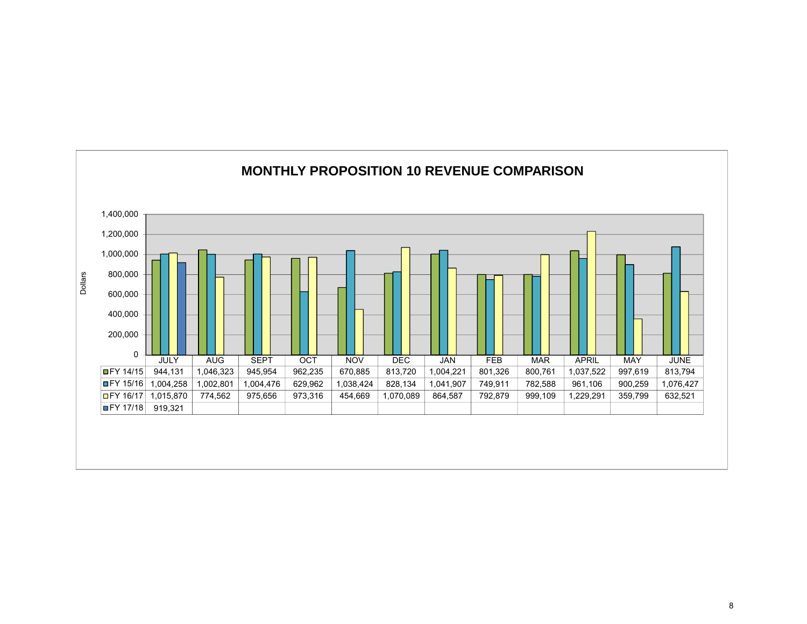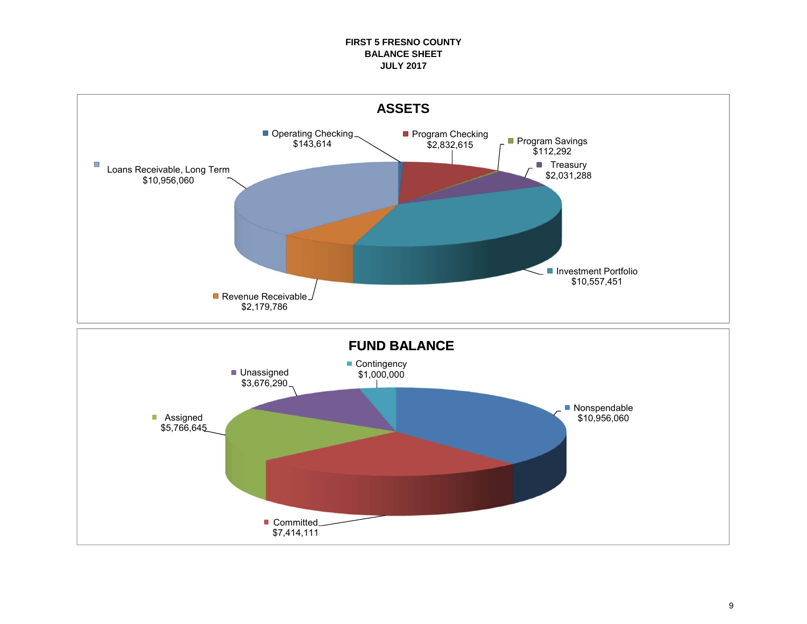#### **FIRST 5 FRESNO COUNTY BALANCE SHEETJULY 2017**

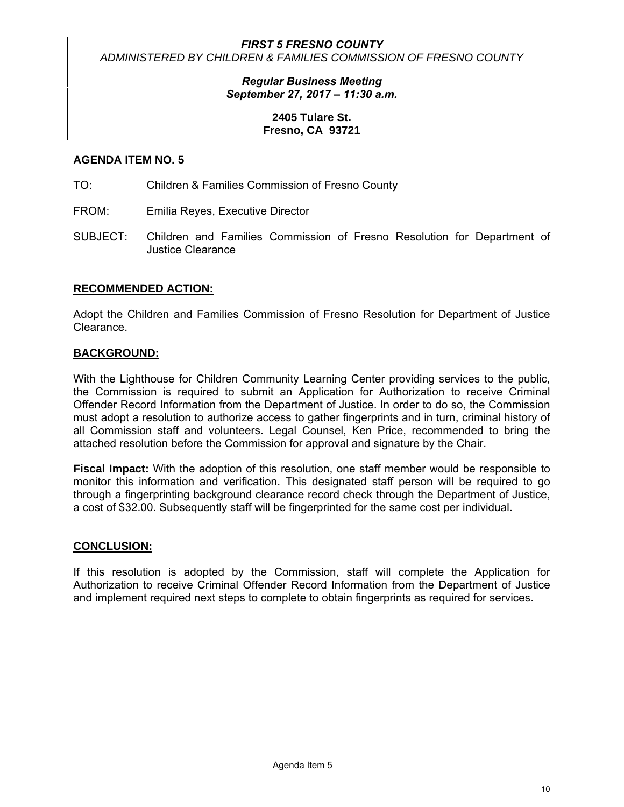# *Regular Business Meeting September 27, 2017 – 11:30 a.m.*

# **2405 Tulare St. Fresno, CA 93721**

# **AGENDA ITEM NO. 5**

- TO: Children & Families Commission of Fresno County
- FROM: Emilia Reyes, Executive Director
- SUBJECT: Children and Families Commission of Fresno Resolution for Department of Justice Clearance

# **RECOMMENDED ACTION:**

Adopt the Children and Families Commission of Fresno Resolution for Department of Justice Clearance.

# **BACKGROUND:**

With the Lighthouse for Children Community Learning Center providing services to the public, the Commission is required to submit an Application for Authorization to receive Criminal Offender Record Information from the Department of Justice. In order to do so, the Commission must adopt a resolution to authorize access to gather fingerprints and in turn, criminal history of all Commission staff and volunteers. Legal Counsel, Ken Price, recommended to bring the attached resolution before the Commission for approval and signature by the Chair.

**Fiscal Impact:** With the adoption of this resolution, one staff member would be responsible to monitor this information and verification. This designated staff person will be required to go through a fingerprinting background clearance record check through the Department of Justice, a cost of \$32.00. Subsequently staff will be fingerprinted for the same cost per individual.

### **CONCLUSION:**

If this resolution is adopted by the Commission, staff will complete the Application for Authorization to receive Criminal Offender Record Information from the Department of Justice and implement required next steps to complete to obtain fingerprints as required for services.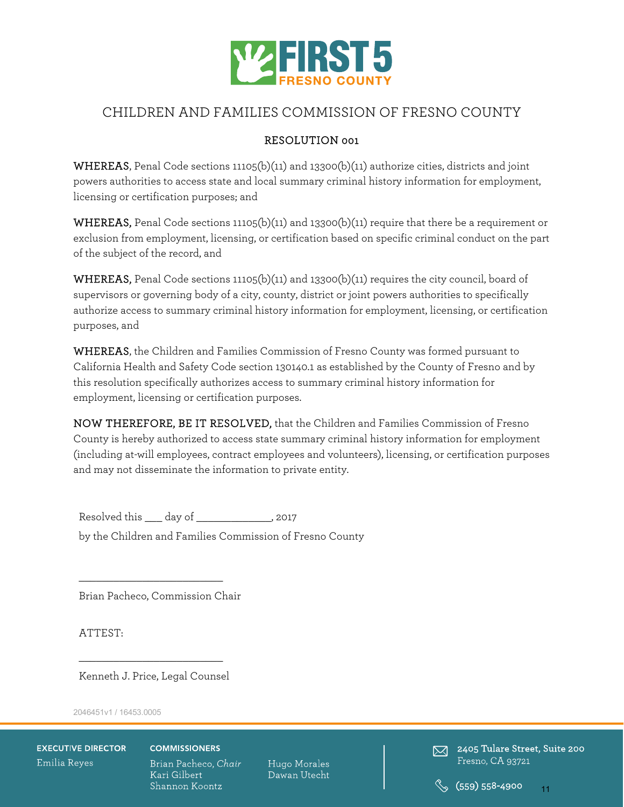

# CHILDREN AND FAMILIES COMMISSION OF FRESNO COUNTY

# RESOLUTION 001

WHEREAS, Penal Code sections  $11105(b)(11)$  and  $13300(b)(11)$  authorize cities, districts and joint powers authorities to access state and local summary criminal history information for employment, licensing or certification purposes; and

**WHEREAS,** Penal Code sections 11105(b)(11) and 13300(b)(11) require that there be a requirement or exclusion from employment, licensing, or certification based on specific criminal conduct on the part of the subject of the record, and

WHEREAS, Penal Code sections 11105(b)(11) and 13300(b)(11) requires the city council, board of supervisors or governing body of a city, county, district or joint powers authorities to specifically authorize access to summary criminal history information for employment, licensing, or certification purposes, and

WHEREAS, the Children and Families Commission of Fresno County was formed pursuant to California Health and Safety Code section 130140.1 as established by the County of Fresno and by this resolution specifically authorizes access to summary criminal history information for employment, licensing or certification purposes.

NOW THEREFORE, BE IT RESOLVED, that the Children and Families Commission of Fresno County is hereby authorized to access state summary criminal history information for employment (including at-will employees, contract employees and volunteers), licensing, or certification purposes and may not disseminate the information to private entity.

Resolved this day of the second that  $\frac{1}{2017}$ 

by the Children and Families Commission of Fresno County

Brian Pacheco, Commission Chair

\_\_\_\_\_\_\_\_\_\_\_\_\_\_\_\_\_\_\_\_\_\_\_\_\_

ATTEST:

\_\_\_\_\_\_\_\_\_\_\_\_\_\_\_\_\_\_\_\_\_\_\_\_\_ Kenneth J. Price, Legal Counsel

2046451v1 / 16453.0005

**EXECUTIVE DIRECTOR** Emilia Reyes

#### **COMMISSIONERS**

Brian Pacheco, Chair Kari Gilbert Shannon Koontz

Hugo Morales Dawan Utecht

 $\boxtimes$  2405 Tulare Street, Suite 200 Fresno, CA 93721

11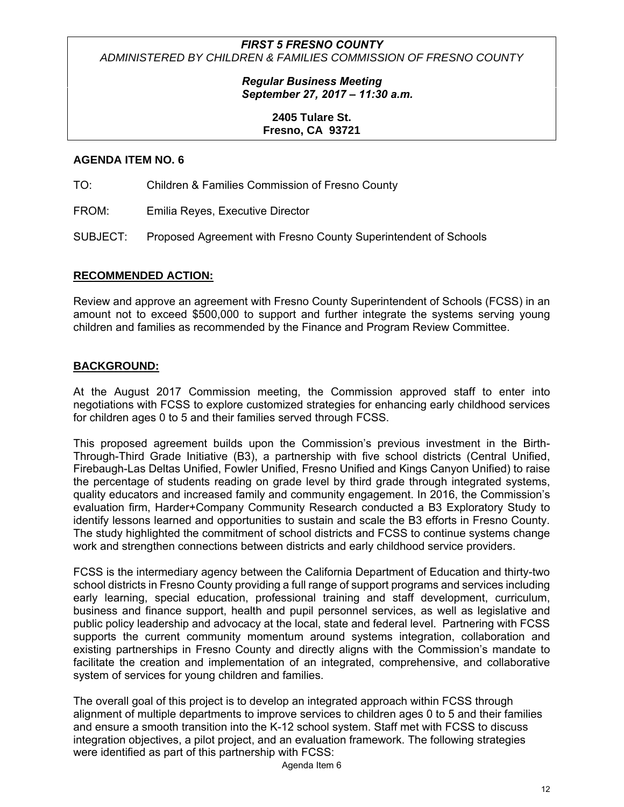# *Regular Business Meeting September 27, 2017 – 11:30 a.m.*

# **2405 Tulare St. Fresno, CA 93721**

# **AGENDA ITEM NO. 6**

TO: Children & Families Commission of Fresno County

FROM: Emilia Reyes, Executive Director

SUBJECT: Proposed Agreement with Fresno County Superintendent of Schools

# **RECOMMENDED ACTION:**

Review and approve an agreement with Fresno County Superintendent of Schools (FCSS) in an amount not to exceed \$500,000 to support and further integrate the systems serving young children and families as recommended by the Finance and Program Review Committee.

# **BACKGROUND:**

At the August 2017 Commission meeting, the Commission approved staff to enter into negotiations with FCSS to explore customized strategies for enhancing early childhood services for children ages 0 to 5 and their families served through FCSS.

This proposed agreement builds upon the Commission's previous investment in the Birth-Through-Third Grade Initiative (B3), a partnership with five school districts (Central Unified, Firebaugh-Las Deltas Unified, Fowler Unified, Fresno Unified and Kings Canyon Unified) to raise the percentage of students reading on grade level by third grade through integrated systems, quality educators and increased family and community engagement. In 2016, the Commission's evaluation firm, Harder+Company Community Research conducted a B3 Exploratory Study to identify lessons learned and opportunities to sustain and scale the B3 efforts in Fresno County. The study highlighted the commitment of school districts and FCSS to continue systems change work and strengthen connections between districts and early childhood service providers.

FCSS is the intermediary agency between the California Department of Education and thirty-two school districts in Fresno County providing a full range of support programs and services including early learning, special education, professional training and staff development, curriculum, business and finance support, health and pupil personnel services, as well as legislative and public policy leadership and advocacy at the local, state and federal level. Partnering with FCSS supports the current community momentum around systems integration, collaboration and existing partnerships in Fresno County and directly aligns with the Commission's mandate to facilitate the creation and implementation of an integrated, comprehensive, and collaborative system of services for young children and families.

The overall goal of this project is to develop an integrated approach within FCSS through alignment of multiple departments to improve services to children ages 0 to 5 and their families and ensure a smooth transition into the K-12 school system. Staff met with FCSS to discuss integration objectives, a pilot project, and an evaluation framework. The following strategies were identified as part of this partnership with FCSS:

Agenda Item 6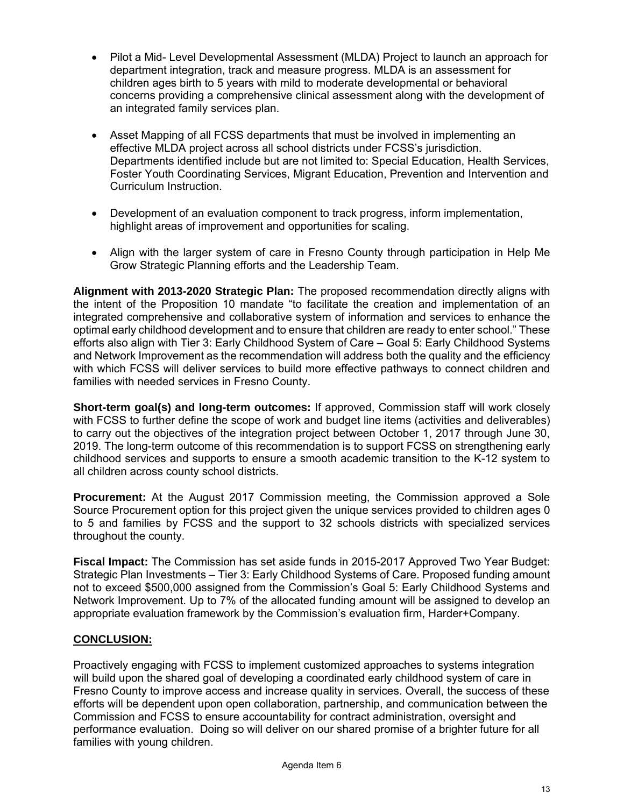- Pilot a Mid- Level Developmental Assessment (MLDA) Project to launch an approach for department integration, track and measure progress. MLDA is an assessment for children ages birth to 5 years with mild to moderate developmental or behavioral concerns providing a comprehensive clinical assessment along with the development of an integrated family services plan.
- Asset Mapping of all FCSS departments that must be involved in implementing an effective MLDA project across all school districts under FCSS's jurisdiction. Departments identified include but are not limited to: Special Education, Health Services, Foster Youth Coordinating Services, Migrant Education, Prevention and Intervention and Curriculum Instruction.
- Development of an evaluation component to track progress, inform implementation, highlight areas of improvement and opportunities for scaling.
- Align with the larger system of care in Fresno County through participation in Help Me Grow Strategic Planning efforts and the Leadership Team.

**Alignment with 2013-2020 Strategic Plan:** The proposed recommendation directly aligns with the intent of the Proposition 10 mandate "to facilitate the creation and implementation of an integrated comprehensive and collaborative system of information and services to enhance the optimal early childhood development and to ensure that children are ready to enter school." These efforts also align with Tier 3: Early Childhood System of Care – Goal 5: Early Childhood Systems and Network Improvement as the recommendation will address both the quality and the efficiency with which FCSS will deliver services to build more effective pathways to connect children and families with needed services in Fresno County.

**Short-term goal(s) and long-term outcomes:** If approved, Commission staff will work closely with FCSS to further define the scope of work and budget line items (activities and deliverables) to carry out the objectives of the integration project between October 1, 2017 through June 30, 2019. The long-term outcome of this recommendation is to support FCSS on strengthening early childhood services and supports to ensure a smooth academic transition to the K-12 system to all children across county school districts.

**Procurement:** At the August 2017 Commission meeting, the Commission approved a Sole Source Procurement option for this project given the unique services provided to children ages 0 to 5 and families by FCSS and the support to 32 schools districts with specialized services throughout the county.

**Fiscal Impact:** The Commission has set aside funds in 2015-2017 Approved Two Year Budget: Strategic Plan Investments – Tier 3: Early Childhood Systems of Care. Proposed funding amount not to exceed \$500,000 assigned from the Commission's Goal 5: Early Childhood Systems and Network Improvement. Up to 7% of the allocated funding amount will be assigned to develop an appropriate evaluation framework by the Commission's evaluation firm, Harder+Company.

# **CONCLUSION:**

Proactively engaging with FCSS to implement customized approaches to systems integration will build upon the shared goal of developing a coordinated early childhood system of care in Fresno County to improve access and increase quality in services. Overall, the success of these efforts will be dependent upon open collaboration, partnership, and communication between the Commission and FCSS to ensure accountability for contract administration, oversight and performance evaluation. Doing so will deliver on our shared promise of a brighter future for all families with young children.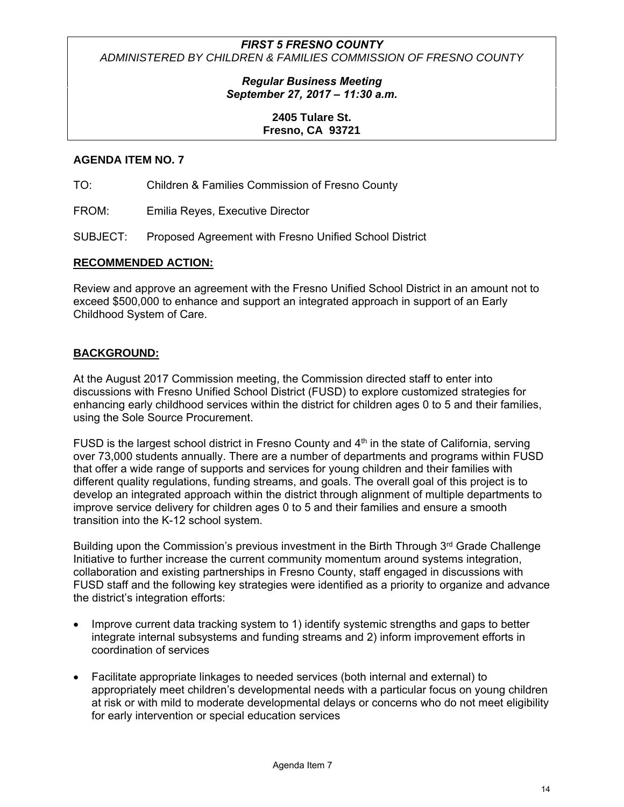# *Regular Business Meeting September 27, 2017 – 11:30 a.m.*

# **2405 Tulare St. Fresno, CA 93721**

# **AGENDA ITEM NO. 7**

TO: Children & Families Commission of Fresno County

FROM: Emilia Reyes, Executive Director

SUBJECT: Proposed Agreement with Fresno Unified School District

### **RECOMMENDED ACTION:**

Review and approve an agreement with the Fresno Unified School District in an amount not to exceed \$500,000 to enhance and support an integrated approach in support of an Early Childhood System of Care.

# **BACKGROUND:**

At the August 2017 Commission meeting, the Commission directed staff to enter into discussions with Fresno Unified School District (FUSD) to explore customized strategies for enhancing early childhood services within the district for children ages 0 to 5 and their families, using the Sole Source Procurement.

FUSD is the largest school district in Fresno County and  $4<sup>th</sup>$  in the state of California, serving over 73,000 students annually. There are a number of departments and programs within FUSD that offer a wide range of supports and services for young children and their families with different quality regulations, funding streams, and goals. The overall goal of this project is to develop an integrated approach within the district through alignment of multiple departments to improve service delivery for children ages 0 to 5 and their families and ensure a smooth transition into the K-12 school system.

Building upon the Commission's previous investment in the Birth Through  $3<sup>rd</sup>$  Grade Challenge Initiative to further increase the current community momentum around systems integration, collaboration and existing partnerships in Fresno County, staff engaged in discussions with FUSD staff and the following key strategies were identified as a priority to organize and advance the district's integration efforts:

- Improve current data tracking system to 1) identify systemic strengths and gaps to better integrate internal subsystems and funding streams and 2) inform improvement efforts in coordination of services
- Facilitate appropriate linkages to needed services (both internal and external) to appropriately meet children's developmental needs with a particular focus on young children at risk or with mild to moderate developmental delays or concerns who do not meet eligibility for early intervention or special education services